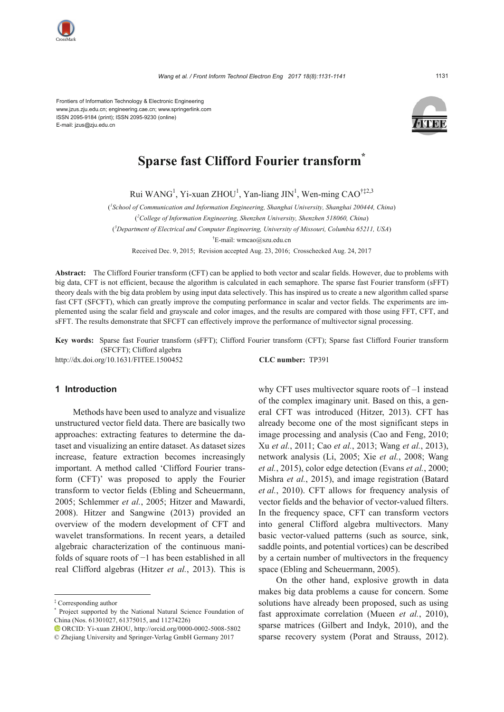

Frontiers of Information Technology & Electronic Engineering www.jzus.zju.edu.cn; engineering.cae.cn; www.springerlink.com ISSN 2095-9184 (print); ISSN 2095-9230 (online) E-mail: jzus@zju.edu.cn



# **Sparse fast Clifford Fourier transform**

Rui WANG<sup>1</sup>, Yi-xuan ZHOU<sup>1</sup>, Yan-liang JIN<sup>1</sup>, Wen-ming CAO<sup>†‡2,3</sup>

( *1 School of Communication and Information Engineering, Shanghai University, Shanghai 200444, China*) ( *2 College of Information Engineering, Shenzhen University, Shenzhen 518060, China*)

( *3 Department of Electrical and Computer Engineering, University of Missouri, Columbia 65211, USA*)

† E-mail: wmcao@szu.edu.cn

Received Dec. 9, 2015; Revision accepted Aug. 23, 2016; Crosschecked Aug. 24, 2017

**Abstract:** The Clifford Fourier transform (CFT) can be applied to both vector and scalar fields. However, due to problems with big data, CFT is not efficient, because the algorithm is calculated in each semaphore. The sparse fast Fourier transform (sFFT) theory deals with the big data problem by using input data selectively. This has inspired us to create a new algorithm called sparse fast CFT (SFCFT), which can greatly improve the computing performance in scalar and vector fields. The experiments are implemented using the scalar field and grayscale and color images, and the results are compared with those using FFT, CFT, and sFFT. The results demonstrate that SFCFT can effectively improve the performance of multivector signal processing.

**Key words:** Sparse fast Fourier transform (sFFT); Clifford Fourier transform (CFT); Sparse fast Clifford Fourier transform (SFCFT); Clifford algebra http://dx.doi.org/10.1631/FITEE.1500452 **CLC number:** TP391

# **1 Introduction**

Methods have been used to analyze and visualize unstructured vector field data. There are basically two approaches: extracting features to determine the dataset and visualizing an entire dataset. As dataset sizes increase, feature extraction becomes increasingly important. A method called 'Clifford Fourier transform (CFT)' was proposed to apply the Fourier transform to vector fields (Ebling and Scheuermann, 2005; Schlemmer *et al.*, 2005; Hitzer and Mawardi, 2008). Hitzer and Sangwine (2013) provided an overview of the modern development of CFT and wavelet transformations. In recent years, a detailed algebraic characterization of the continuous manifolds of square roots of  $-1$  has been established in all real Clifford algebras (Hitzer *et al.*, 2013). This is

why CFT uses multivector square roots of –1 instead of the complex imaginary unit. Based on this, a general CFT was introduced (Hitzer, 2013). CFT has already become one of the most significant steps in image processing and analysis (Cao and Feng, 2010; Xu *et al.*, 2011; Cao *et al.*, 2013; Wang *et al.*, 2013), network analysis (Li, 2005; Xie *et al.*, 2008; Wang *et al.*, 2015), color edge detection (Evans *et al.*, 2000; Mishra *et al.*, 2015), and image registration (Batard *et al.*, 2010). CFT allows for frequency analysis of vector fields and the behavior of vector-valued filters. In the frequency space, CFT can transform vectors into general Clifford algebra multivectors. Many basic vector-valued patterns (such as source, sink, saddle points, and potential vortices) can be described by a certain number of multivectors in the frequency space (Ebling and Scheuermann, 2005).

On the other hand, explosive growth in data makes big data problems a cause for concern. Some solutions have already been proposed, such as using fast approximate correlation (Mueen *et al.*, 2010), sparse matrices (Gilbert and Indyk, 2010), and the sparse recovery system (Porat and Strauss, 2012).

<sup>‡</sup> Corresponding author

<sup>\*</sup> Project supported by the National Natural Science Foundation of China (Nos. 61301027, 61375015, and 11274226)

ORCID: Yi-xuan ZHOU, http://orcid.org/0000-0002-5008-5802 © Zhejiang University and Springer-Verlag GmbH Germany 2017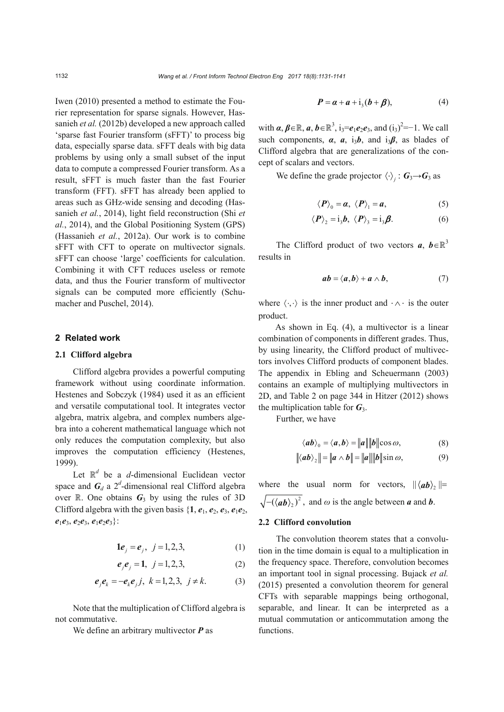Iwen (2010) presented a method to estimate the Fourier representation for sparse signals. However, Hassanieh *et al.* (2012b) developed a new approach called 'sparse fast Fourier transform (sFFT)' to process big data, especially sparse data. sFFT deals with big data problems by using only a small subset of the input data to compute a compressed Fourier transform. As a result, sFFT is much faster than the fast Fourier transform (FFT). sFFT has already been applied to areas such as GHz-wide sensing and decoding (Hassanieh *et al.*, 2014), light field reconstruction (Shi *et al.*, 2014), and the Global Positioning System (GPS) (Hassanieh *et al.*, 2012a). Our work is to combine sFFT with CFT to operate on multivector signals. sFFT can choose 'large' coefficients for calculation. Combining it with CFT reduces useless or remote data, and thus the Fourier transform of multivector signals can be computed more efficiently (Schumacher and Puschel, 2014).

# **2 Related work**

### **2.1 Clifford algebra**

Clifford algebra provides a powerful computing framework without using coordinate information. Hestenes and Sobczyk (1984) used it as an efficient and versatile computational tool. It integrates vector algebra, matrix algebra, and complex numbers algebra into a coherent mathematical language which not only reduces the computation complexity, but also improves the computation efficiency (Hestenes, 1999).

Let  $\mathbb{R}^d$  be a *d*-dimensional Euclidean vector space and  $G_d$  a  $2^d$ -dimensional real Clifford algebra over  $\mathbb{R}$ . One obtains  $G_3$  by using the rules of 3D Clifford algebra with the given basis  $\{1, e_1, e_2, e_3, e_1e_2,$  $e_1e_3, e_2e_3, e_1e_2e_3$ :

$$
1e_j = e_j, \ j = 1, 2, 3,
$$
 (1)

$$
e_i e_j = 1, \ j = 1, 2, 3,
$$
 (2)

$$
e_j e_k = -e_k e_j j, k = 1, 2, 3, j \neq k.
$$
 (3)

Note that the multiplication of Clifford algebra is not commutative.

We define an arbitrary multivector *P* as

$$
\boldsymbol{P} = \boldsymbol{\alpha} + \boldsymbol{a} + i_3(\boldsymbol{b} + \boldsymbol{\beta}), \tag{4}
$$

with  $\alpha, \beta \in \mathbb{R}$ ,  $\alpha, \beta \in \mathbb{R}^3$ , i<sub>3</sub>= $e_1e_2e_3$ , and  $(i_3)^2$ =-1. We call such components,  $\alpha$ ,  $\dot{a}$ ,  $i_3b$ , and  $i_3\beta$ , as blades of Clifford algebra that are generalizations of the concept of scalars and vectors.

We define the grade projector  $\langle \cdot \rangle_i : \mathbf{G}_3 \rightarrow \mathbf{G}_3$  as

$$
\langle P \rangle_0 = \alpha, \ \langle P \rangle_1 = \alpha, \tag{5}
$$

$$
\langle P \rangle_2 = i_3 b, \ \langle P \rangle_3 = i_3 \beta. \tag{6}
$$

The Clifford product of two vectors  $a, b \in \mathbb{R}^3$ results in

$$
ab = \langle a, b \rangle + a \wedge b, \tag{7}
$$

where  $\langle \cdot, \cdot \rangle$  is the inner product and  $\cdot \wedge \cdot$  is the outer product.

As shown in Eq. (4), a multivector is a linear combination of components in different grades. Thus, by using linearity, the Clifford product of multivectors involves Clifford products of component blades. The appendix in Ebling and Scheuermann (2003) contains an example of multiplying multivectors in 2D, and Table 2 on page 344 in Hitzer (2012) shows the multiplication table for  $G_3$ .

Further, we have

$$
\langle ab \rangle_0 = \langle a, b \rangle = ||a|| ||b|| \cos \omega, \tag{8}
$$

$$
\|\langle ab \rangle_2\| = \|a \wedge b\| = \|a\| \|b\| \sin \omega, \tag{9}
$$

where the usual norm for vectors,  $\|\langle a b \rangle_2\|$ =  $-(\langle ab \rangle_2)^2$ , and  $\omega$  is the angle between *a* and *b*.

## **2.2 Clifford convolution**

The convolution theorem states that a convolution in the time domain is equal to a multiplication in the frequency space. Therefore, convolution becomes an important tool in signal processing. Bujack *et al.* (2015) presented a convolution theorem for general CFTs with separable mappings being orthogonal, separable, and linear. It can be interpreted as a mutual commutation or anticommutation among the functions.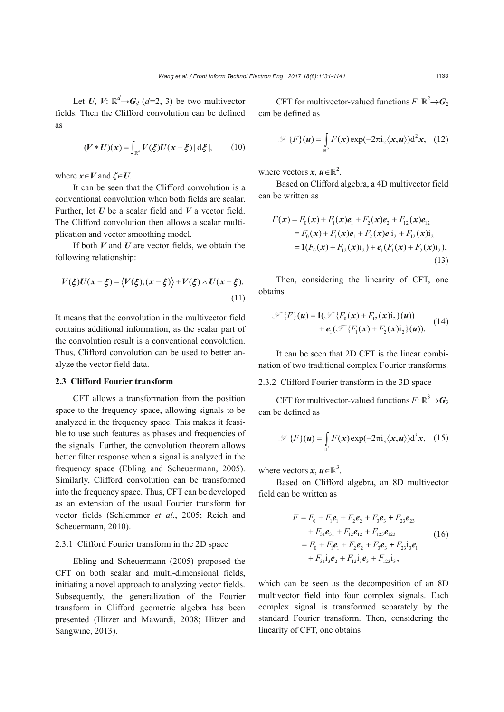Let *U*, *V*:  $\mathbb{R}^d$   $\rightarrow$  *G*<sub>*d*</sub> (*d*=2, 3) be two multivector fields. Then the Clifford convolution can be defined as

$$
(V * U)(x) = \int_{\mathbb{R}^d} V(\xi) U(x - \xi) | d\xi |, \qquad (10)
$$

where  $x \in V$  and  $\zeta \in U$ .

It can be seen that the Clifford convolution is a conventional convolution when both fields are scalar. Further, let *U* be a scalar field and *V* a vector field. The Clifford convolution then allows a scalar multiplication and vector smoothing model.

If both *V* and *U* are vector fields, we obtain the following relationship:

$$
V(\xi)U(x-\xi) = \langle V(\xi), (x-\xi) \rangle + V(\xi) \wedge U(x-\xi).
$$
\n(11)

It means that the convolution in the multivector field contains additional information, as the scalar part of the convolution result is a conventional convolution. Thus, Clifford convolution can be used to better analyze the vector field data.

#### **2.3 Clifford Fourier transform**

CFT allows a transformation from the position space to the frequency space, allowing signals to be analyzed in the frequency space. This makes it feasible to use such features as phases and frequencies of the signals. Further, the convolution theorem allows better filter response when a signal is analyzed in the frequency space (Ebling and Scheuermann, 2005). Similarly, Clifford convolution can be transformed into the frequency space. Thus, CFT can be developed as an extension of the usual Fourier transform for vector fields (Schlemmer *et al.*, 2005; Reich and Scheuermann, 2010).

## 2.3.1 Clifford Fourier transform in the 2D space

Ebling and Scheuermann (2005) proposed the CFT on both scalar and multi-dimensional fields, initiating a novel approach to analyzing vector fields. Subsequently, the generalization of the Fourier transform in Clifford geometric algebra has been presented (Hitzer and Mawardi, 2008; Hitzer and Sangwine, 2013).

CFT for multivector-valued functions  $F: \mathbb{R}^2 \rightarrow G_2$ can be defined as

$$
\mathcal{F}\lbrace F\rbrace(\boldsymbol{u}) = \int_{\mathbb{R}^2} F(\boldsymbol{x}) \exp(-2\pi i_2 \langle \boldsymbol{x}, \boldsymbol{u} \rangle) d^2 \boldsymbol{x}, \quad (12)
$$

where vectors  $x, u \in \mathbb{R}^2$ .

Based on Clifford algebra, a 4D multivector field can be written as

$$
F(\mathbf{x}) = F_0(\mathbf{x}) + F_1(\mathbf{x})\mathbf{e}_1 + F_2(\mathbf{x})\mathbf{e}_2 + F_{12}(\mathbf{x})\mathbf{e}_{12}
$$
  
=  $F_0(\mathbf{x}) + F_1(\mathbf{x})\mathbf{e}_1 + F_2(\mathbf{x})\mathbf{e}_1\mathbf{i}_2 + F_{12}(\mathbf{x})\mathbf{i}_2$   
=  $\mathbf{1}(F_0(\mathbf{x}) + F_{12}(\mathbf{x})\mathbf{i}_2) + \mathbf{e}_1(F_1(\mathbf{x}) + F_2(\mathbf{x})\mathbf{i}_2).$  (13)

Then, considering the linearity of CFT, one obtains

$$
\mathcal{F}\{F\}(\boldsymbol{u}) = \mathbf{1}(\mathcal{F}\{F_0(\boldsymbol{x}) + F_{12}(\boldsymbol{x})\mathbf{i}_2\}(\boldsymbol{u})) + \mathbf{e}_1(\mathcal{F}\{F_1(\boldsymbol{x}) + F_2(\boldsymbol{x})\mathbf{i}_2\}(\boldsymbol{u})). \tag{14}
$$

It can be seen that 2D CFT is the linear combination of two traditional complex Fourier transforms.

## 2.3.2 Clifford Fourier transform in the 3D space

CFT for multivector-valued functions  $F: \mathbb{R}^3 \rightarrow G_3$ can be defined as

$$
\mathscr{F}\lbrace F \rbrace(u) = \int_{\mathbb{R}^3} F(x) \exp(-2\pi i_3 \langle x, u \rangle) d^3 x, \quad (15)
$$

where vectors  $x, u \in \mathbb{R}^3$ .

Based on Clifford algebra, an 8D multivector field can be written as

$$
F = F_0 + F_1e_1 + F_2e_2 + F_3e_3 + F_{23}e_{23}
$$
  
+  $F_{31}e_{31} + F_{12}e_{12} + F_{123}e_{123}$   
=  $F_0 + F_1e_1 + F_2e_2 + F_3e_3 + F_{23}i_3e_1$   
+  $F_{31}i_3e_2 + F_{12}i_3e_3 + F_{123}i_3$ , (16)

which can be seen as the decomposition of an 8D multivector field into four complex signals. Each complex signal is transformed separately by the standard Fourier transform. Then, considering the linearity of CFT, one obtains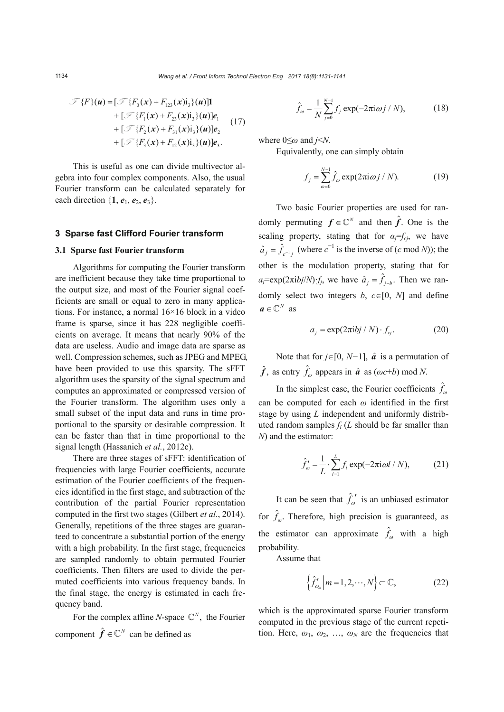$$
\mathcal{F}\lbrace F \rbrace(u) = [\mathcal{F}\lbrace F_0(x) + F_{123}(x)i_3 \rbrace(u)]1 \n+ [\mathcal{F}\lbrace F_1(x) + F_{23}(x)i_3 \rbrace(u)]e_1 \n+ [\mathcal{F}\lbrace F_2(x) + F_{31}(x)i_3 \rbrace(u)]e_2 \n+ [\mathcal{F}\lbrace F_3(x) + F_{12}(x)i_3 \rbrace(u)]e_3.
$$
\n(17)

This is useful as one can divide multivector algebra into four complex components. Also, the usual Fourier transform can be calculated separately for each direction  $\{1, e_1, e_2, e_3\}$ .

### **3 Sparse fast Clifford Fourier transform**

### **3.1 Sparse fast Fourier transform**

Algorithms for computing the Fourier transform are inefficient because they take time proportional to the output size, and most of the Fourier signal coefficients are small or equal to zero in many applications. For instance, a normal 16×16 block in a video frame is sparse, since it has 228 negligible coefficients on average. It means that nearly 90% of the data are useless. Audio and image data are sparse as well. Compression schemes, such as JPEG and MPEG, have been provided to use this sparsity. The sFFT algorithm uses the sparsity of the signal spectrum and computes an approximated or compressed version of the Fourier transform. The algorithm uses only a small subset of the input data and runs in time proportional to the sparsity or desirable compression. It can be faster than that in time proportional to the signal length (Hassanieh *et al.*, 2012c).

There are three stages of sFFT: identification of frequencies with large Fourier coefficients, accurate estimation of the Fourier coefficients of the frequencies identified in the first stage, and subtraction of the contribution of the partial Fourier representation computed in the first two stages (Gilbert *et al.*, 2014). Generally, repetitions of the three stages are guaranteed to concentrate a substantial portion of the energy with a high probability. In the first stage, frequencies are sampled randomly to obtain permuted Fourier coefficients. Then filters are used to divide the permuted coefficients into various frequency bands. In the final stage, the energy is estimated in each frequency band.

For the complex affine *N*-space  $\mathbb{C}^N$ , the Fourier component  $\hat{f} \in \mathbb{C}^N$  can be defined as

$$
\hat{f}_{\omega} = \frac{1}{N} \sum_{j=0}^{N-1} f_j \exp(-2\pi i \omega j / N),
$$
 (18)

where  $0 \leq \omega$  and  $i \leq N$ .

Equivalently, one can simply obtain

$$
f_j = \sum_{\omega=0}^{N-1} \hat{f}_{\omega} \exp(2\pi i \omega j / N). \tag{19}
$$

Two basic Fourier properties are used for randomly permuting  $f \in \mathbb{C}^N$  and then  $\hat{f}$ . One is the scaling property, stating that for  $\alpha_i = f_{ci}$ , we have  $\hat{a}_j = \hat{f}_{c^{-1}j}$  (where  $c^{-1}$  is the inverse of (*c* mod *N*)); the other is the modulation property, stating that for  $a_i = \exp(2\pi i b_j/N) f_i$ , we have  $\hat{a}_i = \hat{f}_{i-b}$ . Then we randomly select two integers *b*,  $c \in [0, N]$  and define  $a \in \mathbb{C}^N$  as

$$
a_j = \exp(2\pi i b j / N) \cdot f_{cj}.
$$
 (20)

Note that for  $j \in [0, N-1]$ ,  $\hat{a}$  is a permutation of  $\hat{f}$ , as entry  $\hat{f}_\omega$  appears in  $\hat{a}$  as  $(\omega c+b)$  mod *N*.

In the simplest case, the Fourier coefficients  $\hat{f}_\text{eq}$ can be computed for each  $\omega$  identified in the first stage by using *L* independent and uniformly distributed random samples  $f_l(L)$  should be far smaller than *N*) and the estimator:

$$
\hat{f}'_{\omega} = \frac{1}{L} \cdot \sum_{l=1}^{L} f_{l} \exp(-2\pi i \omega l / N),
$$
 (21)

It can be seen that  $\hat{f}_{\omega}^{\prime}$  is an unbiased estimator for  $\hat{f}_{\omega}$ . Therefore, high precision is guaranteed, as the estimator can approximate  $\hat{f}_{\omega}$  with a high probability.

Assume that

$$
\left\{\hat{f}'_{\omega_m}\middle|m=1,2,\cdots,N\right\}\subset\mathbb{C},\tag{22}
$$

which is the approximated sparse Fourier transform computed in the previous stage of the current repetition. Here,  $\omega_1$ ,  $\omega_2$ , ...,  $\omega_N$  are the frequencies that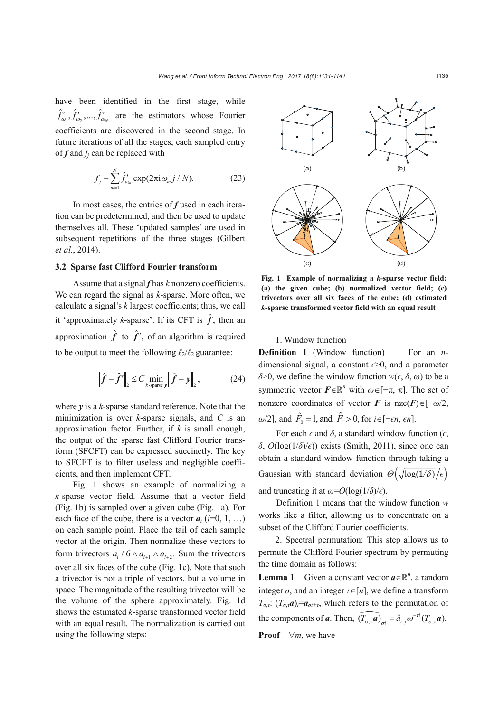have been identified in the first stage, while  $\hat{f}'_{\omega_1}, \hat{f}'_{\omega_2}, ..., \hat{f}'_{\omega_N}$  are the estimators whose Fourier coefficients are discovered in the second stage. In future iterations of all the stages, each sampled entry of *f* and *fj* can be replaced with

$$
f_j - \sum_{m=1}^N \hat{f}'_{\omega_m} \exp(2\pi i \omega_m j / N). \tag{23}
$$

In most cases, the entries of *f* used in each iteration can be predetermined, and then be used to update themselves all. These 'updated samples' are used in subsequent repetitions of the three stages (Gilbert *et al.*, 2014).

### **3.2 Sparse fast Clifford Fourier transform**

Assume that a signal *f* has *k* nonzero coefficients. We can regard the signal as *k*-sparse. More often, we calculate a signal's *k* largest coefficients; thus, we call it 'approximately *k*-sparse'. If its CFT is  $\hat{f}$ , then an approximation  $\hat{f}$  to  $\hat{f}'$ , of an algorithm is required to be output to meet the following  $\ell_2/\ell_2$  guarantee:

$$
\left\|\hat{f} - \hat{f}'\right\|_2 \le C \min_{k \text{ sparse } y} \left\|\hat{f} - y\right\|_2, \tag{24}
$$

where *y* is a *k*-sparse standard reference. Note that the minimization is over *k*-sparse signals, and *C* is an approximation factor. Further, if *k* is small enough, the output of the sparse fast Clifford Fourier transform (SFCFT) can be expressed succinctly. The key to SFCFT is to filter useless and negligible coefficients, and then implement CFT.

Fig. 1 shows an example of normalizing a *k*-sparse vector field. Assume that a vector field (Fig. 1b) is sampled over a given cube (Fig. 1a). For each face of the cube, there is a vector  $a_i$  ( $i=0, 1, ...$ ) on each sample point. Place the tail of each sample vector at the origin. Then normalize these vectors to form trivectors  $a_i / 6 \wedge a_{i+1} \wedge a_{i+2}$ . Sum the trivectors over all six faces of the cube (Fig. 1c). Note that such a trivector is not a triple of vectors, but a volume in space. The magnitude of the resulting trivector will be the volume of the sphere approximately. Fig. 1d shows the estimated *k*-sparse transformed vector field with an equal result. The normalization is carried out using the following steps:



**Fig. 1 Example of normalizing a** *k***-sparse vector field: (a) the given cube; (b) normalized vector field; (c) trivectors over all six faces of the cube; (d) estimated**  *k***-sparse transformed vector field with an equal result** 

1. Window function

**Definition 1** (Window function) For an *n*dimensional signal, a constant  $\epsilon$  >0, and a parameter  $\delta$ >0, we define the window function  $w(\epsilon, \delta, \omega)$  to be a symmetric vector  $\mathbf{F} \in \mathbb{R}^n$  with  $\omega \in [-\pi, \pi]$ . The set of nonzero coordinates of vector *F* is  $nzc(F) \in [-\omega/2,$  $\omega/2$ , and  $\hat{F}_0 = 1$ , and  $\hat{F}_i > 0$ , for  $i \in [-\epsilon n, \epsilon n]$ .

For each  $\epsilon$  and  $\delta$ , a standard window function ( $\epsilon$ ,  $\delta$ ,  $O(log(1/\delta)/\epsilon)$  exists (Smith, 2011), since one can obtain a standard window function through taking a Gaussian with standard deviation  $\mathcal{O}\left(\sqrt{\log(1/\delta)}/\epsilon\right)$ and truncating it at  $\omega = O(\log(1/\delta)/\epsilon)$ .

Definition 1 means that the window function *w* works like a filter, allowing us to concentrate on a subset of the Clifford Fourier coefficients.

2. Spectral permutation: This step allows us to permute the Clifford Fourier spectrum by permuting the time domain as follows:

**Lemma 1** Given a constant vector  $a \in \mathbb{R}^n$ , a random integer  $\sigma$ , and an integer  $\tau \in [n]$ , we define a transform  $T_{\sigma}$ *i*:  $(T_{\sigma} \cdot \mathbf{a})$ *i*= $a_{\sigma i + \tau}$ , which refers to the permutation of the components of **a**. Then,  $\widehat{(T_{\sigma,\tau}\mathbf{a})}_{\sigma i} = \hat{a}_{i,j} \omega^{-\tau i} (T_{\sigma,\tau}\mathbf{a})$ . **Proof**  $\forall m$ , we have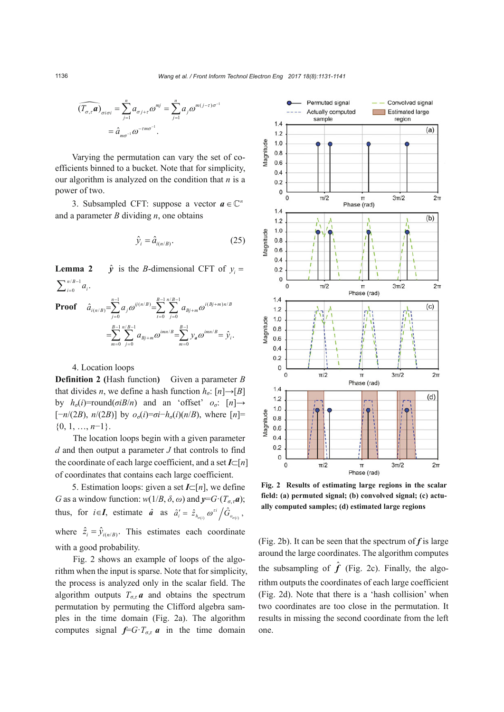è

$$
\widehat{(T_{\sigma,\tau}\mathbf{a})}_{\sigma i \sigma i} = \sum_{j=1}^{n} a_{\sigma j + \tau} \omega^{mj} = \sum_{j=1}^{n} a_j \omega^{m(j-\tau)\sigma^{-1}}
$$

$$
= \widehat{a}_{m\sigma^{-1}} \omega^{-m\sigma^{-1}}.
$$

Varying the permutation can vary the set of coefficients binned to a bucket. Note that for simplicity, our algorithm is analyzed on the condition that *n* is a power of two.

3. Subsampled CFT: suppose a vector  $a \in \mathbb{C}^n$ and a parameter *B* dividing *n*, one obtains

$$
\hat{y}_i = \hat{a}_{i(n/B)}.\tag{25}
$$

**Lemma 2**  $\hat{y}$  is the *B*-dimensional CFT of  $y_i =$  $\sum_{i=0}^{n/B-1} a_i$ .

**Proof** 
$$
\hat{a}_{i(n/B)} = \sum_{j=0}^{n-1} a_j \omega^{ij(n/B)} = \sum_{t=0}^{B-1} \sum_{j=0}^{n/B-1} a_{Bj+m} \omega^{i(Bj+m)n/B} = \sum_{m=0}^{B-1} \sum_{j=0}^{n/B-1} a_{Bj+m} \omega^{imn/B} = \sum_{m=0}^{B-1} y_a \omega^{imn/B} = \hat{y}_i.
$$

#### 4. Location loops

**Definition 2 (**Hash function**)** Given a parameter *B* that divides *n*, we define a hash function  $h_a$ :  $[n] \rightarrow [B]$ by  $h_{\sigma}(i)$ =round( $\sigma iB/n$ ) and an 'offset'  $o_{\sigma}$ :  $[n] \rightarrow$  $[-n/(2B), n/(2B)]$  by  $o_{\sigma}(i) = \sigma i - h_{\sigma}(i)(n/B)$ , where  $[n] =$  $\{0, 1, \ldots, n-1\}.$ 

The location loops begin with a given parameter *d* and then output a parameter *J* that controls to find the coordinate of each large coefficient, and a set  $I\subset[n]$ of coordinates that contains each large coefficient.

5. Estimation loops: given a set  $I\subset [n]$ , we define *G* as a window function:  $w(1/B, \delta, \omega)$  and  $y = G \cdot (T_{\sigma, \tau} a)$ ; thus, for  $i \in I$ , estimate  $\hat{a}$  as  $\hat{a}'_i = \hat{z}_{h_{\sigma(i)}} \omega^{i} / \hat{G}_{o_{\sigma(i)}}$ , where  $\hat{z}_i = \hat{y}_{i(n/B)}$ . This estimates each coordinate with a good probability.

Fig. 2 shows an example of loops of the algorithm when the input is sparse. Note that for simplicity, the process is analyzed only in the scalar field. The algorithm outputs  $T_{\sigma,\tau}$  *a* and obtains the spectrum permutation by permuting the Clifford algebra samples in the time domain (Fig. 2a). The algorithm computes signal  $f=G \cdot T_{\sigma,\tau} a$  in the time domain



**Fig. 2 Results of estimating large regions in the scalar field: (a) permuted signal; (b) convolved signal; (c) actually computed samples; (d) estimated large regions**

(Fig. 2b). It can be seen that the spectrum of *f* is large around the large coordinates. The algorithm computes the subsampling of  $\hat{f}$  (Fig. 2c). Finally, the algorithm outputs the coordinates of each large coefficient (Fig. 2d). Note that there is a 'hash collision' when two coordinates are too close in the permutation. It results in missing the second coordinate from the left one.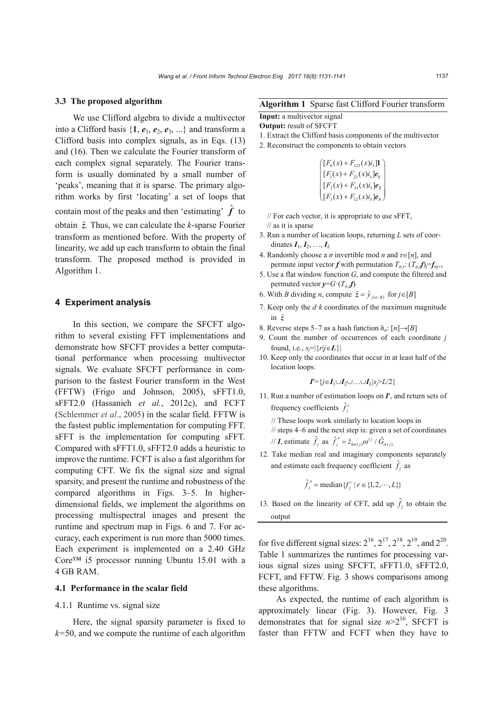#### **3.3 The proposed algorithm**

We use Clifford algebra to divide a multivector into a Clifford basis  $\{1, e_1, e_2, e_3, ...\}$  and transform a Clifford basis into complex signals, as in Eqs. (13) and (16). Then we calculate the Fourier transform of each complex signal separately. The Fourier transform is usually dominated by a small number of 'peaks', meaning that it is sparse. The primary algorithm works by first 'locating' a set of loops that contain most of the peaks and then 'estimating'  $\hat{f}$  to obtain  $\hat{z}$ . Thus, we can calculate the *k*-sparse Fourier transform as mentioned before. With the property of linearity, we add up each transform to obtain the final transform. The proposed method is provided in Algorithm 1.

# **4 Experiment analysis**

In this section, we compare the SFCFT algorithm to several existing FFT implementations and demonstrate how SFCFT provides a better computational performance when processing multivector signals. We evaluate SFCFT performance in comparison to the fastest Fourier transform in the West (FFTW) (Frigo and Johnson, 2005), sFFT1.0, sFFT2.0 (Hassanieh *et al.*, 2012c), and FCFT (Schlemmer *et al*., 2005) in the scalar field. FFTW is the fastest public implementation for computing FFT. sFFT is the implementation for computing sFFT. Compared with sFFT1.0, sFFT2.0 adds a heuristic to improve the runtime. FCFT is also a fast algorithm for computing CFT. We fix the signal size and signal sparsity, and present the runtime and robustness of the compared algorithms in Figs. 3–5. In higherdimensional fields, we implement the algorithms on processing multispectral images and present the runtime and spectrum map in Figs. 6 and 7. For accuracy, each experiment is run more than 5000 times. Each experiment is implemented on a 2.40 GHz Core™ i5 processor running Ubuntu 15.01 with a 4 GB RAM.

# **4.1 Performance in the scalar field**

### 4.1.1 Runtime vs. signal size

Here, the signal sparsity parameter is fixed to *k=*50, and we compute the runtime of each algorithm

# **Algorithm 1** Sparse fast Clifford Fourier transform **Input:** a multivector signal

**Output:** result of SFCFT

- 1. Extract the Clifford basis components of the multivector
- 2. Reconstruct the components to obtain vectors

$$
\begin{cases}\n[F_0(x) + F_{123}(x)i_3]\mathbf{I} \\
[F_1(x) + F_{23}(x)i_3]\mathbf{e}_1 \\
[F_2(x) + F_{31}(x)i_3]\mathbf{e}_2 \\
[F_3(x) + F_{12}(x)i_3]\mathbf{e}_3\n\end{cases}
$$

- // For each vector, it is appropriate to use sFFT,
- // as it is sparse
- 3. Run a number of location loops, returning *L* sets of coordinates  $I_1, I_2, ..., I_L$
- 4. Randomly choose a  $\sigma$  invertible mod *n* and  $\tau \in [n]$ , and permute input vector *f* with permutation  $T_{\sigma}$ ,  $(T_{\sigma} f) = f_{\sigma}$
- 5. Use a flat window function *G*, and compute the filtered and permuted vector  $y = G \cdot (T_a f)$
- 6. With *B* dividing *n*, compute  $\hat{z} = \hat{y}_{i(n/B)}$  for  $j \in [B]$
- 7. Keep only the  $d \cdot k$  coordinates of the maximum magnitude in *z*ˆ
- 8. Reverse steps 5–7 as a hash function  $h_a$ :  $[n] \rightarrow [B]$
- 9. Count the number of occurrences of each coordinate *j* found, i.e.,  $s_j = |\{r|j \in I_r\}|$
- 10. Keep only the coordinates that occur in at least half of the location loops:

 $I'=\{j \in I_1 \cup I_2 \cup \ldots \cup I_L | s_j \geq L/2\}$ 

11. Run a number of estimation loops on  $I'$ , and return sets of frequency coefficients  $\hat{f}_j'$ 

// These loops work similarly to location loops in

// steps 4–6 and the next step is: given a set of coordinates // **I**, estimate  $\hat{f}_j$  as  $\hat{f}_j' = \hat{z}_{h\sigma(j)}\omega^{rj}/\hat{G}_{\sigma(j)}$ 

12. Take median real and imaginary components separately and estimate each frequency coefficient  $\hat{f}_j$  as

$$
\hat{f}'_i = \text{median}\{f''_i | r \in \{1, 2, \cdots, L\}\}
$$

13. Based on the linearity of CFT, add up  $\hat{f}_j$  to obtain the output

for five different signal sizes:  $2^{16}$ ,  $2^{17}$ ,  $2^{18}$ ,  $2^{19}$ , and  $2^{20}$ . Table 1 summarizes the runtimes for processing various signal sizes using SFCFT, sFFT1.0, sFFT2.0, FCFT, and FFTW. Fig. 3 shows comparisons among these algorithms.

As expected, the runtime of each algorithm is approximately linear (Fig. 3). However, Fig. 3 demonstrates that for signal size  $n>2^{16}$ , SFCFT is faster than FFTW and FCFT when they have to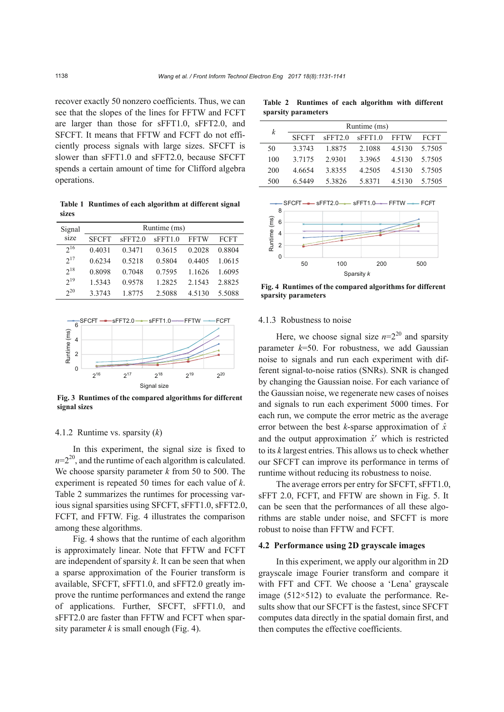recover exactly 50 nonzero coefficients. Thus, we can see that the slopes of the lines for FFTW and FCFT are larger than those for sFFT1.0, sFFT2.0, and SFCFT. It means that FFTW and FCFT do not efficiently process signals with large sizes. SFCFT is slower than sFFT1.0 and sFFT2.0, because SFCFT spends a certain amount of time for Clifford algebra operations.

**Table 1 Runtimes of each algorithm at different signal sizes** 

| Signal   | Runtime (ms) |         |         |             |             |  |
|----------|--------------|---------|---------|-------------|-------------|--|
| size     | <b>SFCFT</b> | sFFT2.0 | sFFT1.0 | <b>FFTW</b> | <b>FCFT</b> |  |
| $2^{16}$ | 0.4031       | 0.3471  | 0.3615  | 0.2028      | 0.8804      |  |
| $2^{17}$ | 0.6234       | 0.5218  | 0.5804  | 0.4405      | 1 0615      |  |
| $2^{18}$ | 0.8098       | 0.7048  | 0.7595  | 1 1 6 2 6   | 1 6095      |  |
| $2^{19}$ | 1.5343       | 0.9578  | 1.2825  | 2.1543      | 2.8825      |  |
| $2^{20}$ | 3.3743       | 1.8775  | 2.5088  | 4.5130      | 5.5088      |  |



**Fig. 3 Runtimes of the compared algorithms for different signal sizes**

# 4.1.2 Runtime vs. sparsity (*k*)

In this experiment, the signal size is fixed to  $n=2^{20}$ , and the runtime of each algorithm is calculated. We choose sparsity parameter *k* from 50 to 500. The experiment is repeated 50 times for each value of *k*. Table 2 summarizes the runtimes for processing various signal sparsities using SFCFT, sFFT1.0, sFFT2.0, FCFT, and FFTW. Fig. 4 illustrates the comparison among these algorithms.

Fig. 4 shows that the runtime of each algorithm is approximately linear. Note that FFTW and FCFT are independent of sparsity *k*. It can be seen that when a sparse approximation of the Fourier transform is available, SFCFT, sFFT1.0, and sFFT2.0 greatly improve the runtime performances and extend the range of applications. Further, SFCFT, sFFT1.0, and sFFT2.0 are faster than FFTW and FCFT when sparsity parameter  $k$  is small enough (Fig. 4).

**Table 2 Runtimes of each algorithm with different sparsity parameters** 

| k   | Runtime (ms) |         |           |           |             |  |  |
|-----|--------------|---------|-----------|-----------|-------------|--|--|
|     | <b>SFCFT</b> | sFFT2.0 | sFFT1.0   | FFTW      | <b>FCFT</b> |  |  |
| 50  | 3 3 7 4 3    | 1.8875  | 2.1088    | 4.5130    | 5.7505      |  |  |
| 100 | 3 7 1 7 5    | 2.9301  | 3 3 9 6 5 | 4 5 1 3 0 | 5 7 5 0 5   |  |  |
| 200 | 4 6654       | 3.8355  | 4.2505    | 4 5 1 3 0 | 5 7 5 0 5   |  |  |
| 500 | 6.5449       | 5.3826  | 5.8371    | 4.5130    | 5.7505      |  |  |



**Fig. 4 Runtimes of the compared algorithms for different sparsity parameters** 

### 4.1.3 Robustness to noise

Here, we choose signal size  $n=2^{20}$  and sparsity parameter *k*=50. For robustness, we add Gaussian noise to signals and run each experiment with different signal-to-noise ratios (SNRs). SNR is changed by changing the Gaussian noise. For each variance of the Gaussian noise, we regenerate new cases of noises and signals to run each experiment 5000 times. For each run, we compute the error metric as the average error between the best *k*-sparse approximation of  $\hat{x}$ and the output approximation  $\hat{x}^{\prime}$  which is restricted to its *k* largest entries. This allows us to check whether our SFCFT can improve its performance in terms of runtime without reducing its robustness to noise.

The average errors per entry for SFCFT, sFFT1.0, sFFT 2.0, FCFT, and FFTW are shown in Fig. 5. It can be seen that the performances of all these algorithms are stable under noise, and SFCFT is more robust to noise than FFTW and FCFT.

#### **4.2 Performance using 2D grayscale images**

In this experiment, we apply our algorithm in 2D grayscale image Fourier transform and compare it with FFT and CFT. We choose a 'Lena' grayscale image (512×512) to evaluate the performance. Results show that our SFCFT is the fastest, since SFCFT computes data directly in the spatial domain first, and then computes the effective coefficients.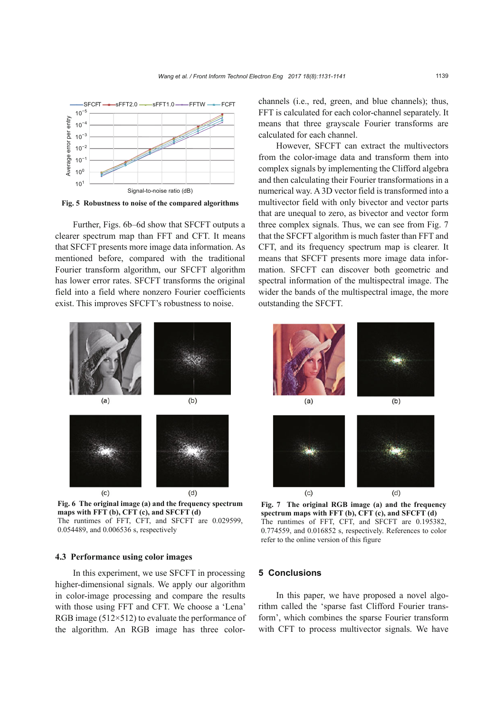

**Fig. 5 Robustness to noise of the compared algorithms**

Further, Figs. 6b–6d show that SFCFT outputs a clearer spectrum map than FFT and CFT. It means that SFCFT presents more image data information. As mentioned before, compared with the traditional Fourier transform algorithm, our SFCFT algorithm has lower error rates. SFCFT transforms the original field into a field where nonzero Fourier coefficients exist. This improves SFCFT's robustness to noise.



**Fig. 6 The original image (a) and the frequency spectrum maps with FFT (b), CFT (c), and SFCFT (d)**  The runtimes of FFT, CFT, and SFCFT are 0.029599, 0.054489, and 0.006536 s, respectively

### **4.3 Performance using color images**

In this experiment, we use SFCFT in processing higher-dimensional signals. We apply our algorithm in color-image processing and compare the results with those using FFT and CFT. We choose a 'Lena' RGB image  $(512\times512)$  to evaluate the performance of the algorithm. An RGB image has three colorchannels (i.e., red, green, and blue channels); thus, FFT is calculated for each color-channel separately. It means that three grayscale Fourier transforms are calculated for each channel.

However, SFCFT can extract the multivectors from the color-image data and transform them into complex signals by implementing the Clifford algebra and then calculating their Fourier transformations in a numerical way. A 3D vector field is transformed into a multivector field with only bivector and vector parts that are unequal to zero, as bivector and vector form three complex signals. Thus, we can see from Fig. 7 that the SFCFT algorithm is much faster than FFT and CFT, and its frequency spectrum map is clearer. It means that SFCFT presents more image data information. SFCFT can discover both geometric and spectral information of the multispectral image. The wider the bands of the multispectral image, the more outstanding the SFCFT.



**Fig. 7 The original RGB image (a) and the frequency spectrum maps with FFT (b), CFT (c), and SFCFT (d)**  The runtimes of FFT, CFT, and SFCFT are 0.195382, 0.774559, and 0.016852 s, respectively. References to color refer to the online version of this figure

## **5 Conclusions**

In this paper, we have proposed a novel algorithm called the 'sparse fast Clifford Fourier transform', which combines the sparse Fourier transform with CFT to process multivector signals. We have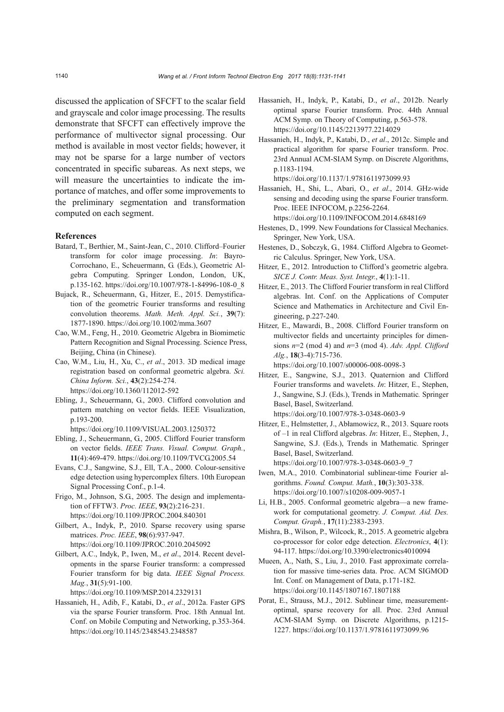discussed the application of SFCFT to the scalar field and grayscale and color image processing. The results demonstrate that SFCFT can effectively improve the performance of multivector signal processing. Our method is available in most vector fields; however, it may not be sparse for a large number of vectors concentrated in specific subareas. As next steps, we will measure the uncertainties to indicate the importance of matches, and offer some improvements to the preliminary segmentation and transformation computed on each segment.

### **References**

- Batard, T., Berthier, M., Saint-Jean, C., 2010. Clifford–Fourier transform for color image processing. *In*: Bayro-Corrochano, E., Scheuermann, G. (Eds.), Geometric Algebra Computing. Springer London, London, UK, p.135-162. https://doi.org/10.1007/978-1-84996-108-0\_8
- Bujack, R., Scheuermann, G., Hitzer, E., 2015. Demystification of the geometric Fourier transforms and resulting convolution theorems. *Math. Meth. Appl. Sci.*, **39**(7): 1877-1890. https://doi.org/10.1002/mma.3607
- Cao, W.M., Feng, H., 2010. Geometric Algebra in Biomimetic Pattern Recognition and Signal Processing. Science Press, Beijing, China (in Chinese).
- Cao, W.M., Liu, H., Xu, C., *et al*., 2013. 3D medical image registration based on conformal geometric algebra. *Sci. China Inform. Sci.*, **43**(2):254-274. https://doi.org/10.1360/112012-592
- Ebling, J., Scheuermann, G., 2003. Clifford convolution and pattern matching on vector fields. IEEE Visualization, p.193-200.
	- https://doi.org/10.1109/VISUAL.2003.1250372
- Ebling, J., Scheuermann, G., 2005. Clifford Fourier transform on vector fields. *IEEE Trans. Visual. Comput. Graph.*, **11**(4):469-479. https://doi.org/10.1109/TVCG.2005.54
- Evans, C.J., Sangwine, S.J., Ell, T.A., 2000. Colour-sensitive edge detection using hypercomplex filters. 10th European Signal Processing Conf., p.1-4.
- Frigo, M., Johnson, S.G., 2005. The design and implementation of FFTW3. *Proc. IEEE*, **93**(2):216-231. https://doi.org/10.1109/JPROC.2004.840301
- Gilbert, A., Indyk, P., 2010. Sparse recovery using sparse matrices. *Proc. IEEE*, **98**(6):937-947. https://doi.org/10.1109/JPROC.2010.2045092
- Gilbert, A.C., Indyk, P., Iwen, M., *et al*., 2014. Recent developments in the sparse Fourier transform: a compressed Fourier transform for big data. *IEEE Signal Process. Mag.*, **31**(5):91-100.

https://doi.org/10.1109/MSP.2014.2329131

Hassanieh, H., Adib, F., Katabi, D., *et al*., 2012a. Faster GPS via the sparse Fourier transform. Proc. 18th Annual Int. Conf. on Mobile Computing and Networking, p.353-364. https://doi.org/10.1145/2348543.2348587

- Hassanieh, H., Indyk, P., Katabi, D., *et al*., 2012b. Nearly optimal sparse Fourier transform. Proc. 44th Annual ACM Symp. on Theory of Computing, p.563-578. https://doi.org/10.1145/2213977.2214029
- Hassanieh, H., Indyk, P., Katabi, D., *et al*., 2012c. Simple and practical algorithm for sparse Fourier transform. Proc. 23rd Annual ACM-SIAM Symp. on Discrete Algorithms, p.1183-1194. https://doi.org/10.1137/1.9781611973099.93
- Hassanieh, H., Shi, L., Abari, O., *et al*., 2014. GHz-wide sensing and decoding using the sparse Fourier transform. Proc. IEEE INFOCOM, p.2256-2264. https://doi.org/10.1109/INFOCOM.2014.6848169
- Hestenes, D., 1999. New Foundations for Classical Mechanics.
- Springer, New York, USA. Hestenes, D., Sobczyk, G., 1984. Clifford Algebra to Geomet-
- ric Calculus. Springer, New York, USA.
- Hitzer, E., 2012. Introduction to Clifford's geometric algebra. *SICE J. Contr. Meas. Syst. Integr.*, **4**(1):1-11.
- Hitzer, E., 2013. The Clifford Fourier transform in real Clifford algebras. Int. Conf. on the Applications of Computer Science and Mathematics in Architecture and Civil Engineering, p.227-240.
- Hitzer, E., Mawardi, B., 2008. Clifford Fourier transform on multivector fields and uncertainty principles for dimensions *n*=2 (mod 4) and *n*=3 (mod 4). *Adv. Appl. Clifford Alg.*, **18**(3-4):715-736.

https://doi.org/10.1007/s00006-008-0098-3

- Hitzer, E., Sangwine, S.J., 2013. Quaternion and Clifford Fourier transforms and wavelets. *In*: Hitzer, E., Stephen, J., Sangwine, S.J. (Eds.), Trends in Mathematic*.* Springer Basel, Basel, Switzerland. https://doi.org/10.1007/978-3-0348-0603-9
- Hitzer, E., Helmstetter, J., Abáamowicz, R., 2013. Square roots of –1 in real Clifford algebras. *In*: Hitzer, E., Stephen, J., Sangwine, S.J. (Eds.), Trends in Mathematic*.* Springer Basel, Basel, Switzerland. https://doi.org/10.1007/978-3-0348-0603-9\_7
- Iwen, M.A., 2010. Combinatorial sublinear-time Fourier algorithms. *Found. Comput. Math.*, **10**(3):303-338. https://doi.org/10.1007/s10208-009-9057-1
- Li, H.B., 2005. Conformal geometric algebra—a new framework for computational geometry. *J. Comput. Aid. Des. Comput. Graph.*, **17**(11):2383-2393.
- Mishra, B., Wilson, P., Wilcock, R., 2015. A geometric algebra co-processor for color edge detection. *Electronics*, **4**(1): 94-117. https://doi.org/10.3390/electronics4010094
- Mueen, A., Nath, S., Liu, J., 2010. Fast approximate correlation for massive time-series data. Proc. ACM SIGMOD Int. Conf. on Management of Data, p.171-182. https://doi.org/10.1145/1807167.1807188
- Porat, E., Strauss, M.J., 2012. Sublinear time, measurementoptimal, sparse recovery for all. Proc. 23rd Annual ACM-SIAM Symp. on Discrete Algorithms, p.1215- 1227. https://doi.org/10.1137/1.9781611973099.96